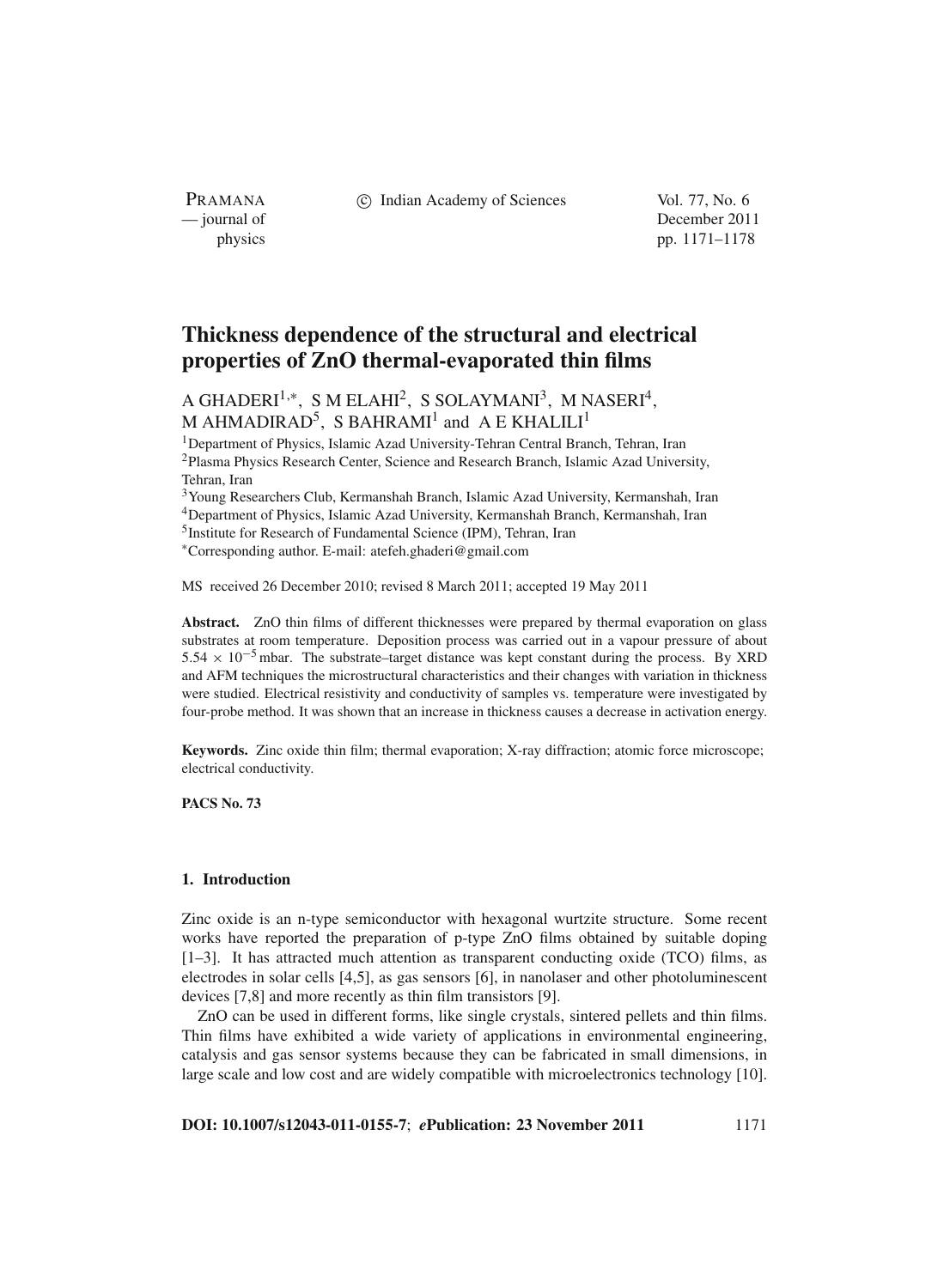PRAMANA

c Indian Academy of Sciences Vol. 77, No. 6

— journal of December 2011 physics pp. 1171–1178

# **Thickness dependence of the structural and electrical properties of ZnO thermal-evaporated thin films**

A GHADERI<sup>1,\*</sup>, S M ELAHI<sup>2</sup>, S SOLAYMANI<sup>3</sup>, M NASERI<sup>4</sup>, M AHMADIRAD<sup>5</sup>, S BAHRAMI<sup>1</sup> and A E KHALILI<sup>1</sup>

<sup>1</sup>Department of Physics, Islamic Azad University-Tehran Central Branch, Tehran, Iran 2Plasma Physics Research Center, Science and Research Branch, Islamic Azad University, Tehran, Iran

3Young Researchers Club, Kermanshah Branch, Islamic Azad University, Kermanshah, Iran

4Department of Physics, Islamic Azad University, Kermanshah Branch, Kermanshah, Iran

5Institute for Research of Fundamental Science (IPM), Tehran, Iran

<sup>∗</sup>Corresponding author. E-mail: atefeh.ghaderi@gmail.com

MS received 26 December 2010; revised 8 March 2011; accepted 19 May 2011

**Abstract.** ZnO thin films of different thicknesses were prepared by thermal evaporation on glass substrates at room temperature. Deposition process was carried out in a vapour pressure of about 5.54 × 10−<sup>5</sup> mbar. The substrate–target distance was kept constant during the process. By XRD and AFM techniques the microstructural characteristics and their changes with variation in thickness were studied. Electrical resistivity and conductivity of samples vs. temperature were investigated by four-probe method. It was shown that an increase in thickness causes a decrease in activation energy.

**Keywords.** Zinc oxide thin film; thermal evaporation; X-ray diffraction; atomic force microscope; electrical conductivity.

**PACS No. 73**

## **1. Introduction**

Zinc oxide is an n-type semiconductor with hexagonal wurtzite structure. Some recent works have reported the preparation of p-type ZnO films obtained by suitable doping [1–3]. It has attracted much attention as transparent conducting oxide (TCO) films, as electrodes in solar cells [4,5], as gas sensors [6], in nanolaser and other photoluminescent devices [7,8] and more recently as thin film transistors [9].

ZnO can be used in different forms, like single crystals, sintered pellets and thin films. Thin films have exhibited a wide variety of applications in environmental engineering, catalysis and gas sensor systems because they can be fabricated in small dimensions, in large scale and low cost and are widely compatible with microelectronics technology [10].

**DOI: 10.1007/s12043-011-0155-7**; *e***Publication: 23 November 2011** 1171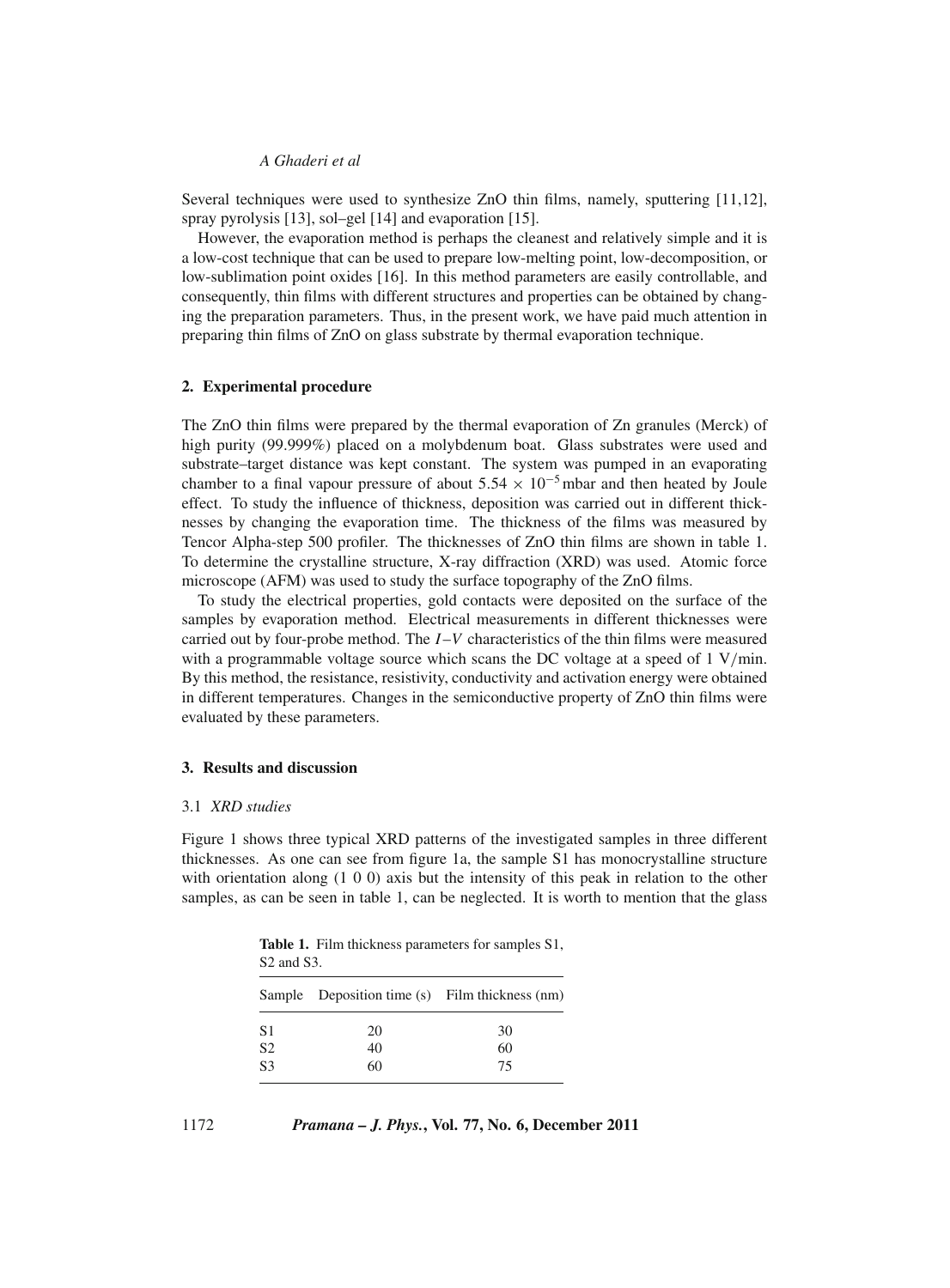# *A Ghaderi et al*

Several techniques were used to synthesize ZnO thin films, namely, sputtering [11,12], spray pyrolysis [13], sol–gel [14] and evaporation [15].

However, the evaporation method is perhaps the cleanest and relatively simple and it is a low-cost technique that can be used to prepare low-melting point, low-decomposition, or low-sublimation point oxides [16]. In this method parameters are easily controllable, and consequently, thin films with different structures and properties can be obtained by changing the preparation parameters. Thus, in the present work, we have paid much attention in preparing thin films of ZnO on glass substrate by thermal evaporation technique.

## **2. Experimental procedure**

The ZnO thin films were prepared by the thermal evaporation of Zn granules (Merck) of high purity (99.999%) placed on a molybdenum boat. Glass substrates were used and substrate–target distance was kept constant. The system was pumped in an evaporating chamber to a final vapour pressure of about  $5.54 \times 10^{-5}$  mbar and then heated by Joule effect. To study the influence of thickness, deposition was carried out in different thicknesses by changing the evaporation time. The thickness of the films was measured by Tencor Alpha-step 500 profiler. The thicknesses of ZnO thin films are shown in table 1. To determine the crystalline structure, X-ray diffraction (XRD) was used. Atomic force microscope (AFM) was used to study the surface topography of the ZnO films.

To study the electrical properties, gold contacts were deposited on the surface of the samples by evaporation method. Electrical measurements in different thicknesses were carried out by four-probe method. The *I* –*V* characteristics of the thin films were measured with a programmable voltage source which scans the DC voltage at a speed of  $1 \text{ V/min}$ . By this method, the resistance, resistivity, conductivity and activation energy were obtained in different temperatures. Changes in the semiconductive property of ZnO thin films were evaluated by these parameters.

### **3. Results and discussion**

#### 3.1 *XRD studies*

Figure 1 shows three typical XRD patterns of the investigated samples in three different thicknesses. As one can see from figure 1a, the sample S1 has monocrystalline structure with orientation along (1 0 0) axis but the intensity of this peak in relation to the other samples, as can be seen in table 1, can be neglected. It is worth to mention that the glass

**Table 1.** Film thickness parameters for samples S1, S2 and S3.

|                | Sample Deposition time (s) Film thickness (nm) |    |
|----------------|------------------------------------------------|----|
| S1             | 20                                             | 30 |
| S <sub>2</sub> | 40                                             | 60 |
| S <sub>3</sub> | 60                                             | 75 |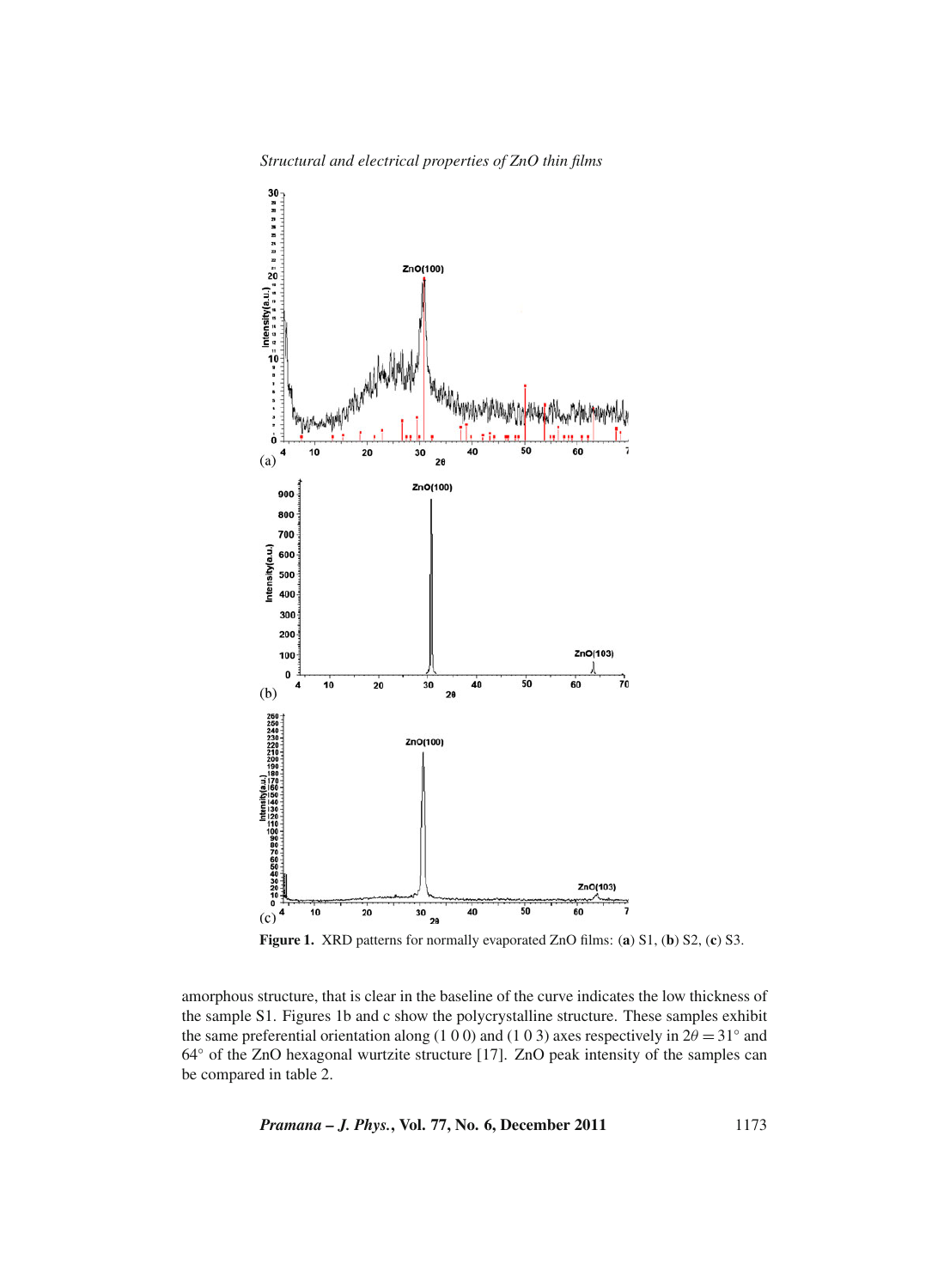*Structural and electrical properties of ZnO thin films*



**Figure 1.** XRD patterns for normally evaporated ZnO films: (**a**) S1, (**b**) S2, (**c**) S3.

amorphous structure, that is clear in the baseline of the curve indicates the low thickness of the sample S1. Figures 1b and c show the polycrystalline structure. These samples exhibit the same preferential orientation along (1 0 0) and (1 0 3) axes respectively in  $2\theta = 31°$  and 64◦ of the ZnO hexagonal wurtzite structure [17]. ZnO peak intensity of the samples can be compared in table 2.

*Pramana – J. Phys.***, Vol. 77, No. 6, December 2011** 1173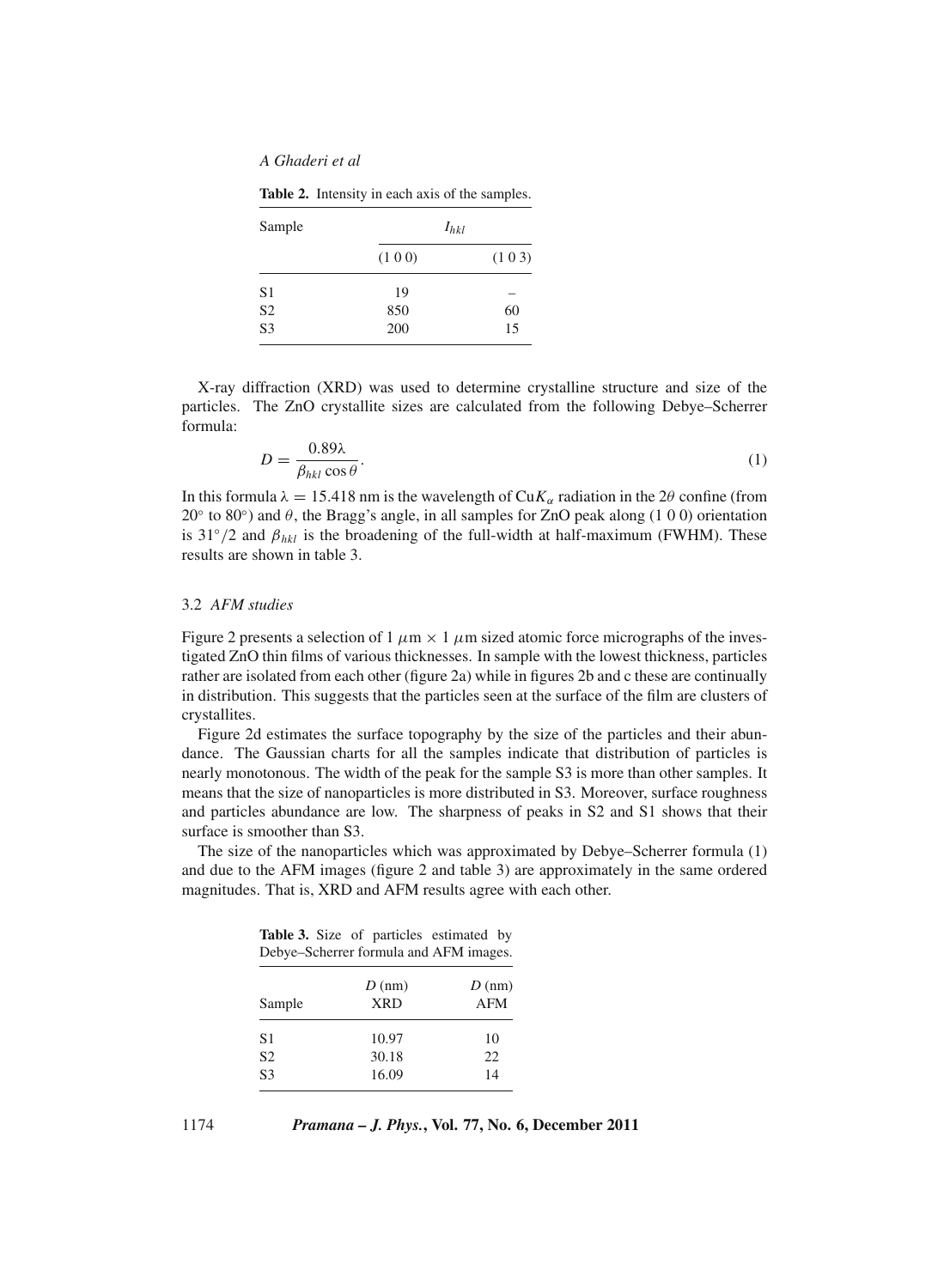*A Ghaderi et al*

| <b>Table 2.</b> Intensity in each axis of the samples. |  |
|--------------------------------------------------------|--|
|--------------------------------------------------------|--|

| Sample         | $I_{hkl}$ |       |  |
|----------------|-----------|-------|--|
|                | (100)     | (103) |  |
| S <sub>1</sub> | 19        |       |  |
| S <sub>2</sub> | 850       | 60    |  |
| S <sub>3</sub> | 200       | 15    |  |

X-ray diffraction (XRD) was used to determine crystalline structure and size of the particles. The ZnO crystallite sizes are calculated from the following Debye–Scherrer formula:

$$
D = \frac{0.89\lambda}{\beta_{hkl}\cos\theta}.
$$
 (1)

In this formula  $\lambda = 15.418$  nm is the wavelength of Cu $K_{\alpha}$  radiation in the 2 $\theta$  confine (from 20 $\degree$  to 80 $\degree$ ) and  $\theta$ , the Bragg's angle, in all samples for ZnO peak along (1 0 0) orientation is 31°/2 and  $\beta_{hkl}$  is the broadening of the full-width at half-maximum (FWHM). These results are shown in table 3.

#### 3.2 *AFM studies*

Figure 2 presents a selection of 1  $\mu$ m × 1  $\mu$ m sized atomic force micrographs of the investigated ZnO thin films of various thicknesses. In sample with the lowest thickness, particles rather are isolated from each other (figure 2a) while in figures 2b and c these are continually in distribution. This suggests that the particles seen at the surface of the film are clusters of crystallites.

Figure 2d estimates the surface topography by the size of the particles and their abundance. The Gaussian charts for all the samples indicate that distribution of particles is nearly monotonous. The width of the peak for the sample S3 is more than other samples. It means that the size of nanoparticles is more distributed in S3. Moreover, surface roughness and particles abundance are low. The sharpness of peaks in S2 and S1 shows that their surface is smoother than S3.

The size of the nanoparticles which was approximated by Debye–Scherrer formula (1) and due to the AFM images (figure 2 and table 3) are approximately in the same ordered magnitudes. That is, XRD and AFM results agree with each other.

**Table 3.** Size of particles estimated by Debye–Scherrer formula and AFM images.

| Sample         | $D \text{ (nm)}$<br><b>XRD</b> | $D \text{ (nm)}$<br><b>AFM</b> |
|----------------|--------------------------------|--------------------------------|
| S <sub>1</sub> | 10.97                          | 10                             |
| S <sub>2</sub> | 30.18                          | 22.                            |
| S <sub>3</sub> | 16.09                          | 14                             |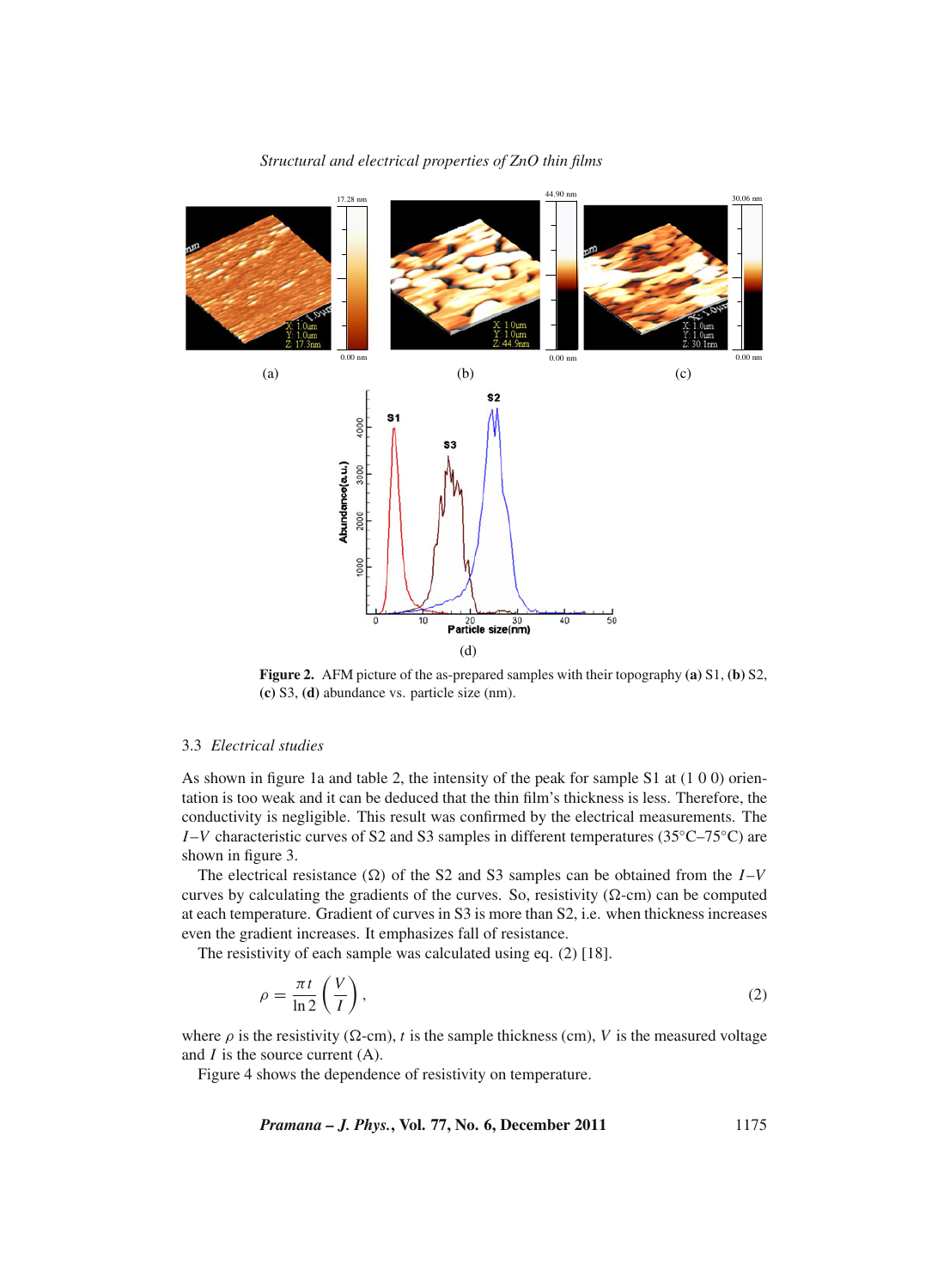

**Figure 2.** AFM picture of the as-prepared samples with their topography **(a)** S1, **(b)** S2, **(c)** S3, **(d)** abundance vs. particle size (nm).

#### 3.3 *Electrical studies*

As shown in figure 1a and table 2, the intensity of the peak for sample S1 at (1 0 0) orientation is too weak and it can be deduced that the thin film's thickness is less. Therefore, the conductivity is negligible. This result was confirmed by the electrical measurements. The *I* –*V* characteristic curves of S2 and S3 samples in different temperatures (35°C–75°C) are shown in figure 3.

The electrical resistance  $(\Omega)$  of the S2 and S3 samples can be obtained from the *I*-*V* curves by calculating the gradients of the curves. So, resistivity  $(\Omega$ -cm) can be computed at each temperature. Gradient of curves in S3 is more than S2, i.e. when thickness increases even the gradient increases. It emphasizes fall of resistance.

The resistivity of each sample was calculated using eq. (2) [18].

$$
\rho = \frac{\pi t}{\ln 2} \left( \frac{V}{I} \right),\tag{2}
$$

where  $\rho$  is the resistivity ( $\Omega$ -cm), *t* is the sample thickness (cm), *V* is the measured voltage and *I* is the source current (A).

Figure 4 shows the dependence of resistivity on temperature.

*Pramana – J. Phys.***, Vol. 77, No. 6, December 2011** 1175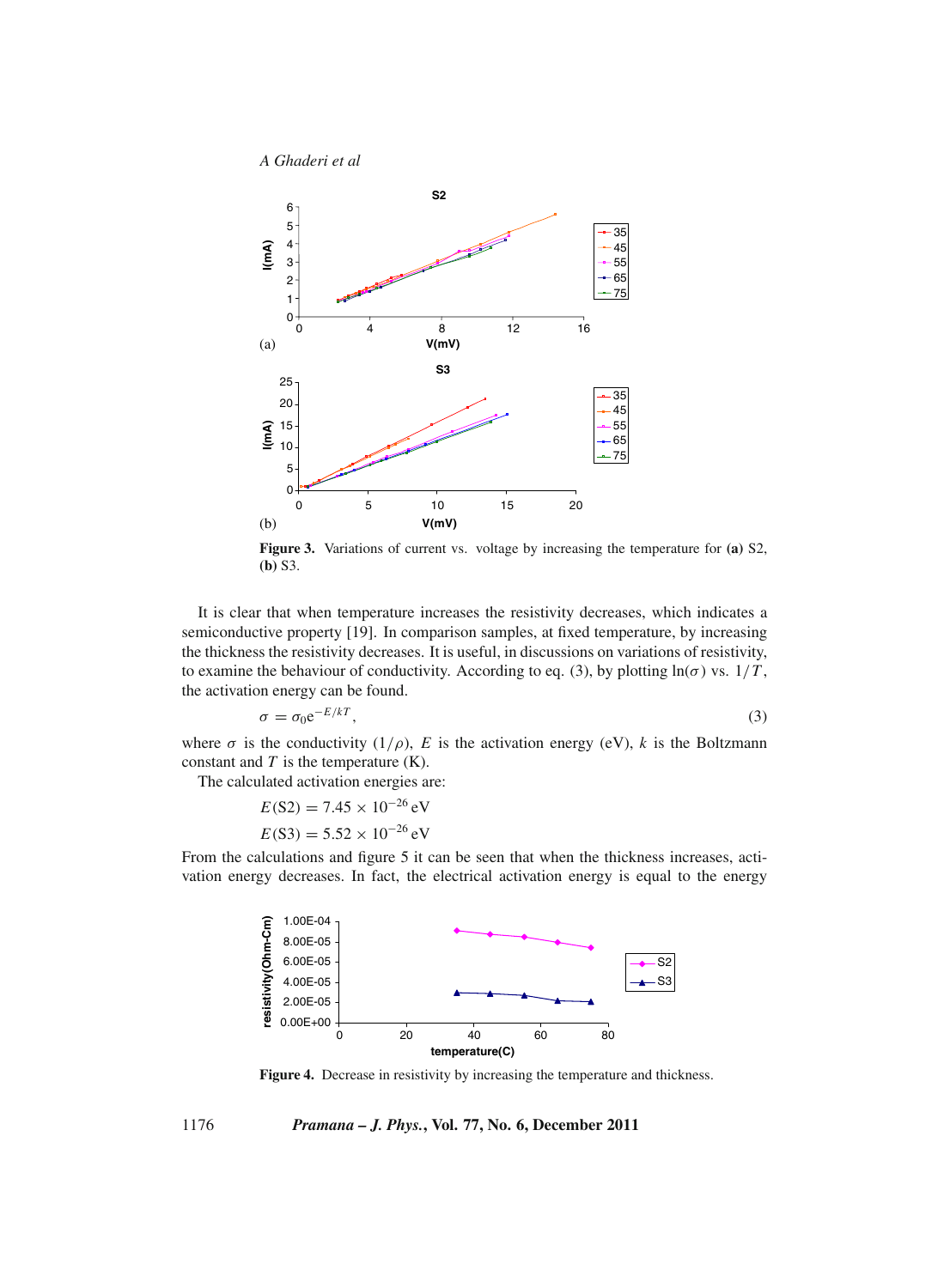



**Figure 3.** Variations of current vs. voltage by increasing the temperature for **(a)** S2, **(b)** S3.

It is clear that when temperature increases the resistivity decreases, which indicates a semiconductive property [19]. In comparison samples, at fixed temperature, by increasing the thickness the resistivity decreases. It is useful, in discussions on variations of resistivity, to examine the behaviour of conductivity. According to eq. (3), by plotting  $ln(\sigma)$  vs.  $1/T$ , the activation energy can be found.

$$
\sigma = \sigma_0 e^{-E/kT},\tag{3}
$$

where  $\sigma$  is the conductivity  $(1/\rho)$ , *E* is the activation energy (eV), *k* is the Boltzmann constant and *T* is the temperature (K).

The calculated activation energies are:

$$
E(S2) = 7.45 \times 10^{-26} \text{ eV}
$$

$$
E(S3) = 5.52 \times 10^{-26} \,\mathrm{eV}
$$

From the calculations and figure 5 it can be seen that when the thickness increases, activation energy decreases. In fact, the electrical activation energy is equal to the energy



Figure 4. Decrease in resistivity by increasing the temperature and thickness.

1176 *Pramana – J. Phys.***, Vol. 77, No. 6, December 2011**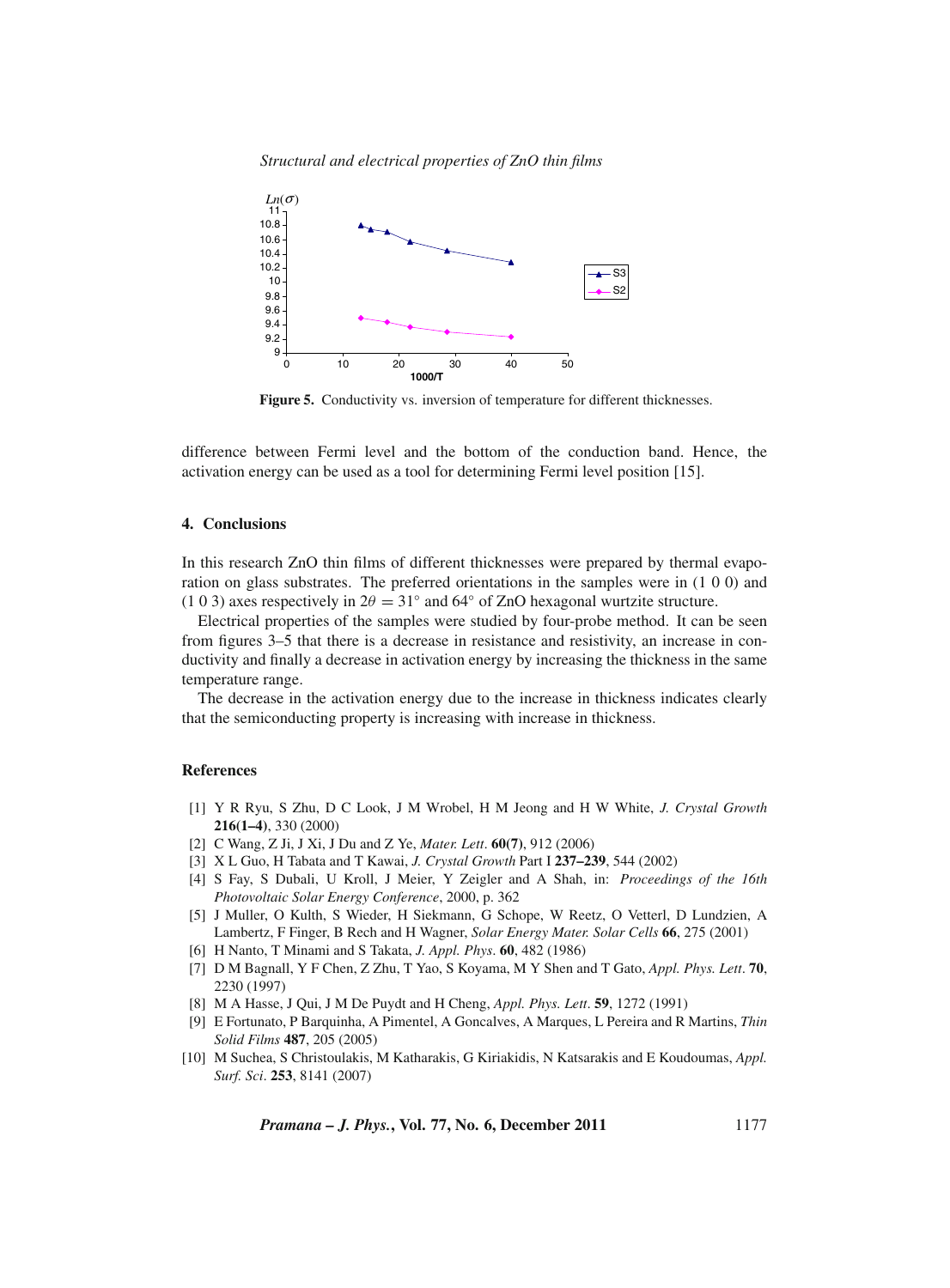*Structural and electrical properties of ZnO thin films*



Figure 5. Conductivity vs. inversion of temperature for different thicknesses.

difference between Fermi level and the bottom of the conduction band. Hence, the activation energy can be used as a tool for determining Fermi level position [15].

## **4. Conclusions**

In this research ZnO thin films of different thicknesses were prepared by thermal evaporation on glass substrates. The preferred orientations in the samples were in (1 0 0) and (1 0 3) axes respectively in  $2\theta = 31°$  and  $64°$  of ZnO hexagonal wurtzite structure.

Electrical properties of the samples were studied by four-probe method. It can be seen from figures 3–5 that there is a decrease in resistance and resistivity, an increase in conductivity and finally a decrease in activation energy by increasing the thickness in the same temperature range.

The decrease in the activation energy due to the increase in thickness indicates clearly that the semiconducting property is increasing with increase in thickness.

# **References**

- [1] Y R Ryu, S Zhu, D C Look, J M Wrobel, H M Jeong and H W White, *J. Crystal Growth* **216(1–4)**, 330 (2000)
- [2] C Wang, Z Ji, J Xi, J Du and Z Ye, *Mater. Lett*. **60(7)**, 912 (2006)
- [3] X L Guo, H Tabata and T Kawai, *J. Crystal Growth* Part I **237–239**, 544 (2002)
- [4] S Fay, S Dubali, U Kroll, J Meier, Y Zeigler and A Shah, in: *Proceedings of the 16th Photovoltaic Solar Energy Conference*, 2000, p. 362
- [5] J Muller, O Kulth, S Wieder, H Siekmann, G Schope, W Reetz, O Vetterl, D Lundzien, A Lambertz, F Finger, B Rech and H Wagner, *Solar Energy Mater. Solar Cells* **66**, 275 (2001)
- [6] H Nanto, T Minami and S Takata, *J. Appl. Phys*. **60**, 482 (1986)
- [7] D M Bagnall, Y F Chen, Z Zhu, T Yao, S Koyama, M Y Shen and T Gato, *Appl. Phys. Lett*. **70**, 2230 (1997)
- [8] M A Hasse, J Qui, J M De Puydt and H Cheng, *Appl. Phys. Lett*. **59**, 1272 (1991)
- [9] E Fortunato, P Barquinha, A Pimentel, A Goncalves, A Marques, L Pereira and R Martins, *Thin Solid Films* **487**, 205 (2005)
- [10] M Suchea, S Christoulakis, M Katharakis, G Kiriakidis, N Katsarakis and E Koudoumas, *Appl. Surf. Sci*. **253**, 8141 (2007)